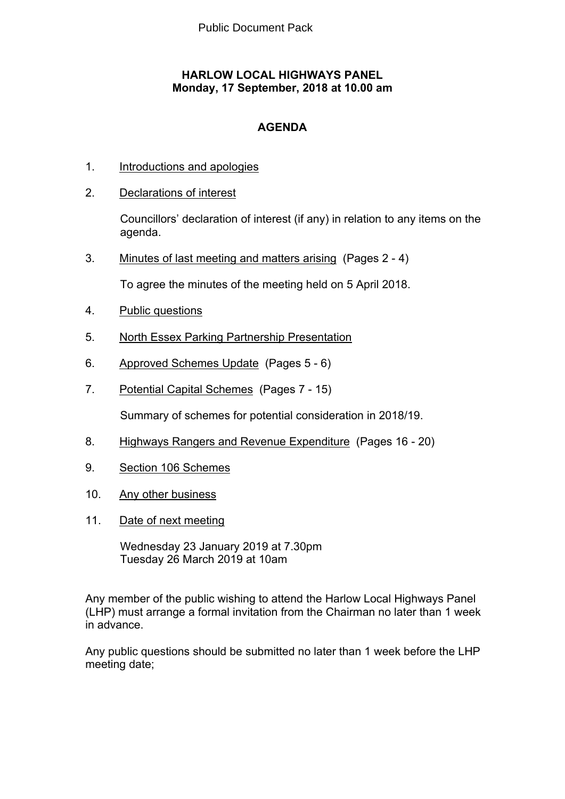## **HARLOW LOCAL HIGHWAYS PANEL Monday, 17 September, 2018 at 10.00 am**

## **AGENDA**

- 1. Introductions and apologies
- 2. Declarations of interest

Councillors' declaration of interest (if any) in relation to any items on the agenda.

3. Minutes of last meeting and matters arising(Pages 2 - 4)

To agree the minutes of the meeting held on 5 April 2018.

- 4. Public questions
- 5. North Essex Parking Partnership Presentation
- 6. Approved Schemes Update(Pages 5 6)
- 7. Potential Capital Schemes(Pages 7 15)

Summary of schemes for potential consideration in 2018/19.

- 8. Highways Rangers and Revenue Expenditure(Pages 16 20)
- 9. Section 106 Schemes
- 10. Any other business
- 11. Date of next meeting

Wednesday 23 January 2019 at 7.30pm Tuesday 26 March 2019 at 10am

Any member of the public wishing to attend the Harlow Local Highways Panel (LHP) must arrange a formal invitation from the Chairman no later than 1 week in advance.

Any public questions should be submitted no later than 1 week before the LHP meeting date;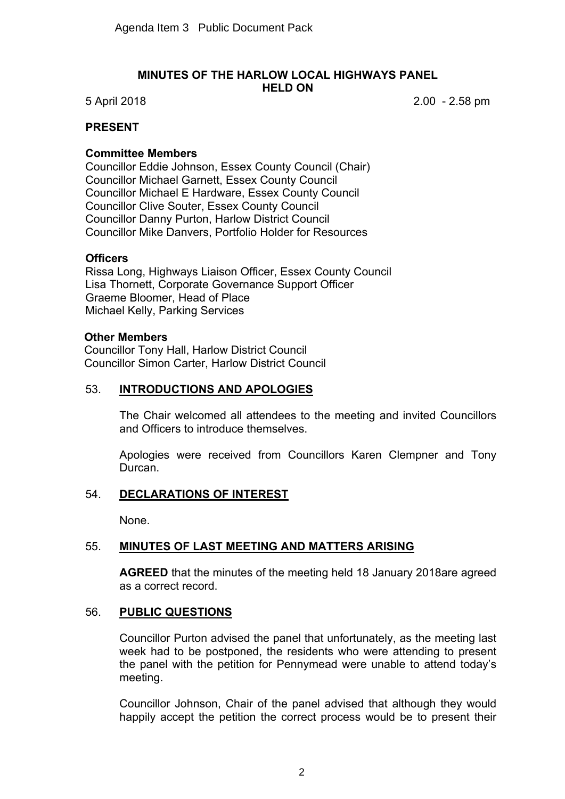#### **MINUTES OF THE HARLOW LOCAL HIGHWAYS PANEL HELD ON**

5 April 2018 2.00 - 2.58 pm

## **PRESENT**

### **Committee Members**

Councillor Eddie Johnson, Essex County Council (Chair) Councillor Michael Garnett, Essex County Council Councillor Michael E Hardware, Essex County Council Councillor Clive Souter, Essex County Council Councillor Danny Purton, Harlow District Council Councillor Mike Danvers, Portfolio Holder for Resources

#### **Officers**

Rissa Long, Highways Liaison Officer, Essex County Council Lisa Thornett, Corporate Governance Support Officer Graeme Bloomer, Head of Place Michael Kelly, Parking Services

#### **Other Members**

Councillor Tony Hall, Harlow District Council Councillor Simon Carter, Harlow District Council

#### 53. **INTRODUCTIONS AND APOLOGIES**

The Chair welcomed all attendees to the meeting and invited Councillors and Officers to introduce themselves.

Apologies were received from Councillors Karen Clempner and Tony Durcan.

### 54. **DECLARATIONS OF INTEREST**

None.

### 55. **MINUTES OF LAST MEETING AND MATTERS ARISING**

**AGREED** that the minutes of the meeting held 18 January 2018are agreed as a correct record.

#### 56. **PUBLIC QUESTIONS**

Councillor Purton advised the panel that unfortunately, as the meeting last week had to be postponed, the residents who were attending to present the panel with the petition for Pennymead were unable to attend today's meeting.

Councillor Johnson, Chair of the panel advised that although they would happily accept the petition the correct process would be to present their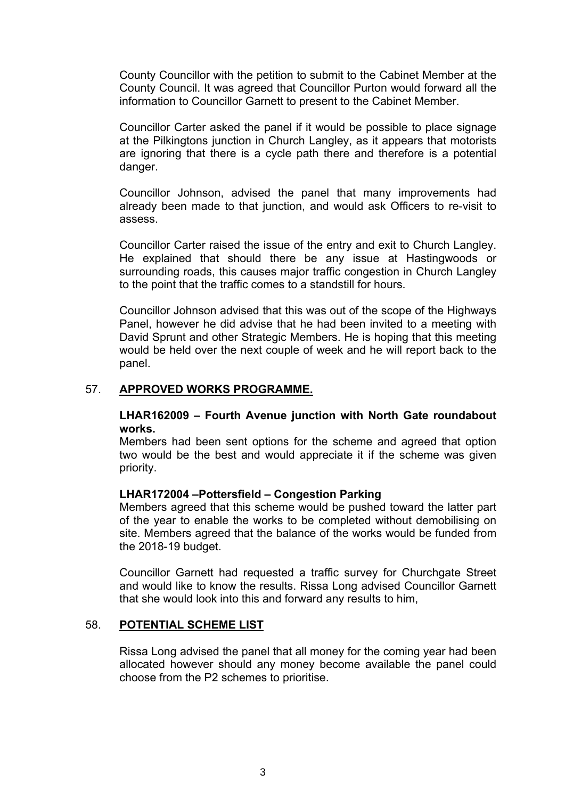County Councillor with the petition to submit to the Cabinet Member at the County Council. It was agreed that Councillor Purton would forward all the information to Councillor Garnett to present to the Cabinet Member.

Councillor Carter asked the panel if it would be possible to place signage at the Pilkingtons junction in Church Langley, as it appears that motorists are ignoring that there is a cycle path there and therefore is a potential danger.

Councillor Johnson, advised the panel that many improvements had already been made to that junction, and would ask Officers to re-visit to assess.

Councillor Carter raised the issue of the entry and exit to Church Langley. He explained that should there be any issue at Hastingwoods or surrounding roads, this causes major traffic congestion in Church Langley to the point that the traffic comes to a standstill for hours.

Councillor Johnson advised that this was out of the scope of the Highways Panel, however he did advise that he had been invited to a meeting with David Sprunt and other Strategic Members. He is hoping that this meeting would be held over the next couple of week and he will report back to the panel.

#### 57. **APPROVED WORKS PROGRAMME.**

**LHAR162009 – Fourth Avenue junction with North Gate roundabout works.**

Members had been sent options for the scheme and agreed that option two would be the best and would appreciate it if the scheme was given priority.

#### **LHAR172004 –Pottersfield – Congestion Parking**

Members agreed that this scheme would be pushed toward the latter part of the year to enable the works to be completed without demobilising on site. Members agreed that the balance of the works would be funded from the 2018-19 budget.

Councillor Garnett had requested a traffic survey for Churchgate Street and would like to know the results. Rissa Long advised Councillor Garnett that she would look into this and forward any results to him,

#### 58. **POTENTIAL SCHEME LIST**

Rissa Long advised the panel that all money for the coming year had been allocated however should any money become available the panel could choose from the P2 schemes to prioritise.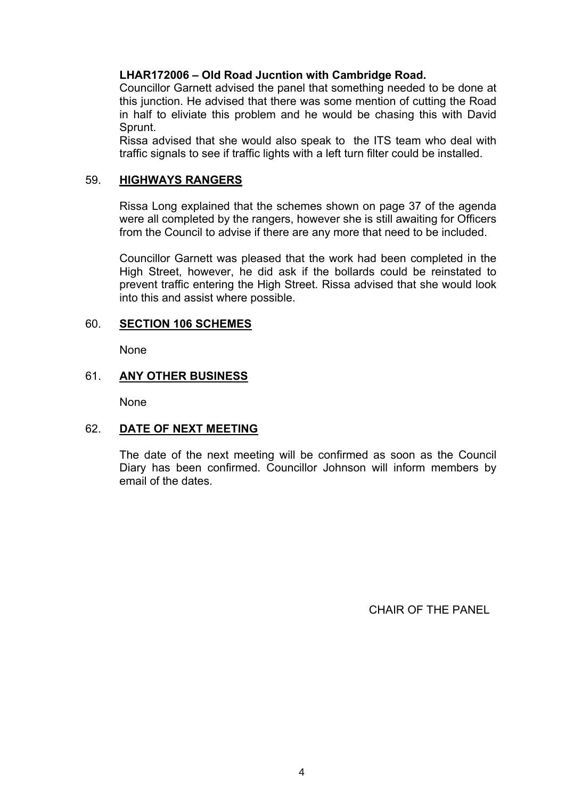**LHAR172006 – Old Road Jucntion with Cambridge Road.**

Councillor Garnett advised the panel that something needed to be done at this junction. He advised that there was some mention of cutting the Road in half to eliviate this problem and he would be chasing this with David Sprunt.

Rissa advised that she would also speak to the ITS team who deal with traffic signals to see if traffic lights with a left turn filter could be installed.

### 59. **HIGHWAYS RANGERS**

Rissa Long explained that the schemes shown on page 37 of the agenda were all completed by the rangers, however she is still awaiting for Officers from the Council to advise if there are any more that need to be included.

Councillor Garnett was pleased that the work had been completed in the High Street, however, he did ask if the bollards could be reinstated to prevent traffic entering the High Street. Rissa advised that she would look into this and assist where possible.

## 60. **SECTION 106 SCHEMES**

None

## 61. **ANY OTHER BUSINESS**

None

## 62. **DATE OF NEXT MEETING**

The date of the next meeting will be confirmed as soon as the Council Diary has been confirmed. Councillor Johnson will inform members by email of the dates.

CHAIR OF THE PANEL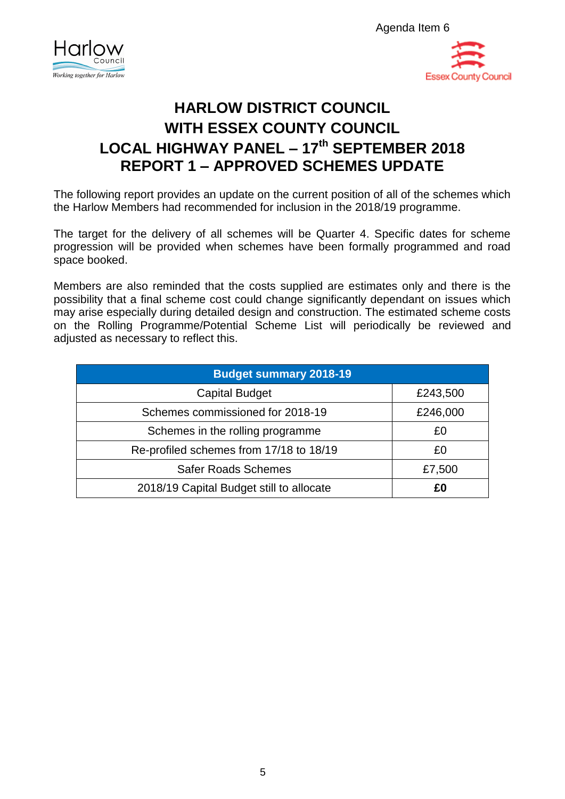



# **HARLOW DISTRICT COUNCIL WITH ESSEX COUNTY COUNCIL LOCAL HIGHWAY PANEL – 17th SEPTEMBER 2018 REPORT 1 – APPROVED SCHEMES UPDATE**

The following report provides an update on the current position of all of the schemes which the Harlow Members had recommended for inclusion in the 2018/19 programme.

The target for the delivery of all schemes will be Quarter 4. Specific dates for scheme progression will be provided when schemes have been formally programmed and road space booked.

Members are also reminded that the costs supplied are estimates only and there is the possibility that a final scheme cost could change significantly dependant on issues which may arise especially during detailed design and construction. The estimated scheme costs on the Rolling Programme/Potential Scheme List will periodically be reviewed and adjusted as necessary to reflect this.

| <b>Budget summary 2018-19</b>            |          |  |  |  |  |  |  |
|------------------------------------------|----------|--|--|--|--|--|--|
| <b>Capital Budget</b>                    | £243,500 |  |  |  |  |  |  |
| Schemes commissioned for 2018-19         | £246,000 |  |  |  |  |  |  |
| Schemes in the rolling programme         | £0       |  |  |  |  |  |  |
| Re-profiled schemes from 17/18 to 18/19  | £0       |  |  |  |  |  |  |
| <b>Safer Roads Schemes</b>               | £7,500   |  |  |  |  |  |  |
| 2018/19 Capital Budget still to allocate | £0       |  |  |  |  |  |  |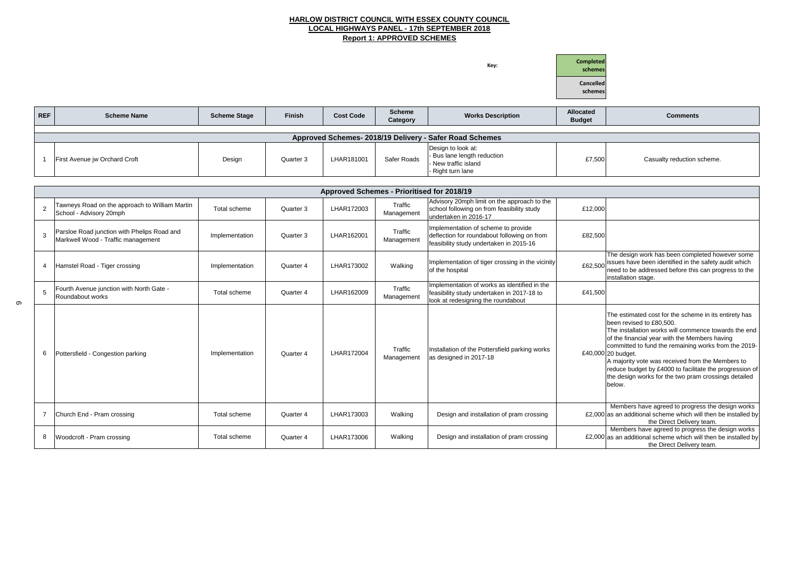### **HARLOW DISTRICT COUNCIL WITH ESSEX COUNTY COUNCIL LOCAL HIGHWAYS PANEL - 17th SEPTEMBER 2018 Report 1: APPROVED SCHEMES**

**Key:**



#### **Budget Comments**

| £7,500 | Casualty reduction scheme. |
|--------|----------------------------|
|        |                            |

|                                                         |                                                                                   |                     |               |                                            |                           |                                                                                                                               | Cancelled<br>schemes              |  |  |  |
|---------------------------------------------------------|-----------------------------------------------------------------------------------|---------------------|---------------|--------------------------------------------|---------------------------|-------------------------------------------------------------------------------------------------------------------------------|-----------------------------------|--|--|--|
| <b>REF</b>                                              | <b>Scheme Name</b>                                                                | <b>Scheme Stage</b> | <b>Finish</b> | <b>Cost Code</b>                           | <b>Scheme</b><br>Category | <b>Works Description</b>                                                                                                      | <b>Allocated</b><br><b>Budget</b> |  |  |  |
| Approved Schemes- 2018/19 Delivery - Safer Road Schemes |                                                                                   |                     |               |                                            |                           |                                                                                                                               |                                   |  |  |  |
|                                                         | First Avenue jw Orchard Croft                                                     | Design              | Quarter 3     | LHAR181001                                 | Safer Roads               | Design to look at:<br>Bus lane length reduction<br>New traffic island<br>Right turn lane                                      | £7,500                            |  |  |  |
|                                                         |                                                                                   |                     |               |                                            |                           |                                                                                                                               |                                   |  |  |  |
|                                                         |                                                                                   |                     |               | Approved Schemes - Prioritised for 2018/19 |                           |                                                                                                                               |                                   |  |  |  |
| $\overline{2}$                                          | Tawneys Road on the approach to William Martin<br>School - Advisory 20mph         | Total scheme        | Quarter 3     | LHAR172003                                 | Traffic<br>Management     | Advisory 20mph limit on the approach to the<br>school following on from feasibility study<br>undertaken in 2016-17            | £12,000                           |  |  |  |
| 3                                                       | Parsloe Road junction with Phelips Road and<br>Markwell Wood - Traffic management | Implementation      | Quarter 3     | LHAR162001                                 | Traffic<br>Management     | Implementation of scheme to provide<br>deflection for roundabout following on from<br>feasibility study undertaken in 2015-16 | £82,500                           |  |  |  |
|                                                         |                                                                                   |                     |               |                                            |                           |                                                                                                                               |                                   |  |  |  |

| Parsloe Road junction with Phelips Road and<br>Markwell Wood - Traffic management | Implementation                                                   | Quarter 3 | LHAR162001                                                                                                                       | Traffic<br>Management | Implementation of scheme to provide<br>deflection for roundabout following on from<br>feasibility study undertaken in 2015-16 | £82,500 |
|-----------------------------------------------------------------------------------|------------------------------------------------------------------|-----------|----------------------------------------------------------------------------------------------------------------------------------|-----------------------|-------------------------------------------------------------------------------------------------------------------------------|---------|
| Hamstel Road - Tiger crossing                                                     | Implementation                                                   | Quarter 4 | LHAR173002                                                                                                                       | Walking               | Implementation of tiger crossing in the vicinity<br>of the hospital                                                           | £62,500 |
| Fourth Avenue junction with North Gate -<br>Roundabout works                      | Traffic<br>LHAR162009<br>Total scheme<br>Quarter 4<br>Management |           | Implementation of works as identified in the<br>feasibility study undertaken in 2017-18 to<br>look at redesigning the roundabout | £41,500               |                                                                                                                               |         |
| Pottersfield - Congestion parking                                                 | Implementation                                                   | Quarter 4 | LHAR172004                                                                                                                       | Traffic<br>Management | Installation of the Pottersfield parking works<br>as designed in 2017-18                                                      | £40,000 |
| Church End - Pram crossing                                                        | Total scheme                                                     | Quarter 4 | LHAR173003                                                                                                                       | Walking               | Design and installation of pram crossing                                                                                      | £2,000  |
| Woodcroft - Pram crossing                                                         | Total scheme                                                     | Quarter 4 | LHAR173006                                                                                                                       | Walking               | Design and installation of pram crossing                                                                                      | £2,000  |
|                                                                                   |                                                                  |           |                                                                                                                                  |                       |                                                                                                                               |         |

| The design work has been completed however some<br>issues have been identified in the safety audit which<br>need to be addressed before this can progress to the<br>installation stage.                                                                                                                                                                                                                                                           |
|---------------------------------------------------------------------------------------------------------------------------------------------------------------------------------------------------------------------------------------------------------------------------------------------------------------------------------------------------------------------------------------------------------------------------------------------------|
|                                                                                                                                                                                                                                                                                                                                                                                                                                                   |
| The estimated cost for the scheme in its entirety has<br>been revised to £80,500.<br>The installation works will commence towards the end<br>of the financial year with the Members having<br>committed to fund the remaining works from the 2019-<br>20 budget.<br>A majority vote was received from the Members to<br>reduce budget by £4000 to facilitate the progression of<br>the design works for the two pram crossings detailed<br>below. |
| Members have agreed to progress the design works<br>as an additional scheme which will then be installed by<br>the Direct Delivery team.                                                                                                                                                                                                                                                                                                          |
| Members have agreed to progress the design works<br>as an additional scheme which will then be installed by<br>the Direct Delivery team.                                                                                                                                                                                                                                                                                                          |

6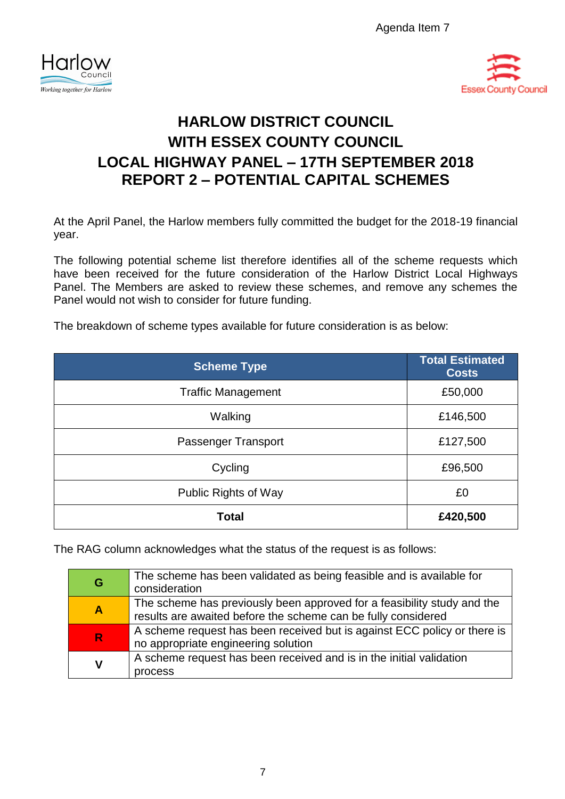Agenda Item 7





# **HARLOW DISTRICT COUNCIL WITH ESSEX COUNTY COUNCIL LOCAL HIGHWAY PANEL – 17TH SEPTEMBER 2018 REPORT 2 – POTENTIAL CAPITAL SCHEMES**

At the April Panel, the Harlow members fully committed the budget for the 2018-19 financial year.

The following potential scheme list therefore identifies all of the scheme requests which have been received for the future consideration of the Harlow District Local Highways Panel. The Members are asked to review these schemes, and remove any schemes the Panel would not wish to consider for future funding.

The breakdown of scheme types available for future consideration is as below:

| <b>Scheme Type</b>        | <b>Total Estimated</b><br><b>Costs</b> |
|---------------------------|----------------------------------------|
| <b>Traffic Management</b> | £50,000                                |
| Walking                   | £146,500                               |
| Passenger Transport       | £127,500                               |
| Cycling                   | £96,500                                |
| Public Rights of Way      | £0                                     |
| <b>Total</b>              | £420,500                               |

The RAG column acknowledges what the status of the request is as follows:

| G                       | The scheme has been validated as being feasible and is available for<br>consideration                                                    |
|-------------------------|------------------------------------------------------------------------------------------------------------------------------------------|
| $\overline{\mathsf{A}}$ | The scheme has previously been approved for a feasibility study and the<br>results are awaited before the scheme can be fully considered |
| $\mathbf R$             | A scheme request has been received but is against ECC policy or there is<br>no appropriate engineering solution                          |
| ۷                       | A scheme request has been received and is in the initial validation<br>process                                                           |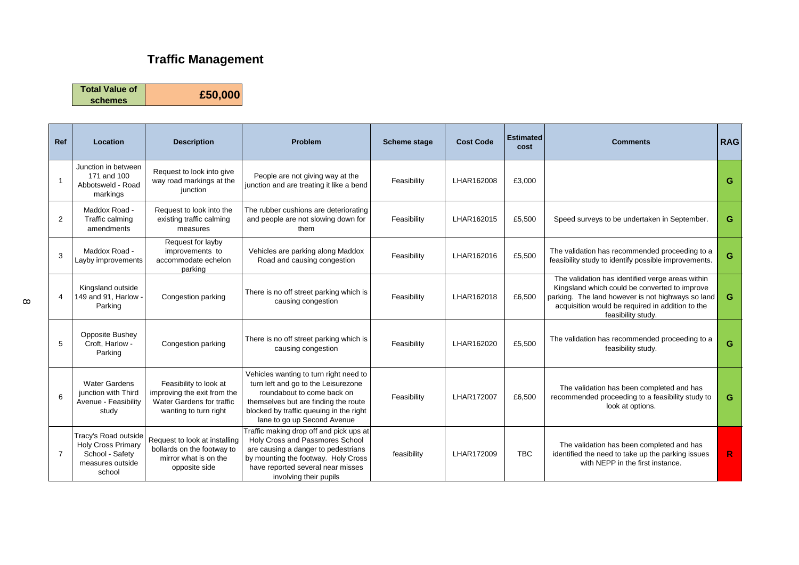## **Traffic Management**

**Total Value of** 

**schemes £50,000**

| Ref            | Location                                                                                           | <b>Description</b>                                                                                          | <b>Problem</b>                                                                                                                                                                                                                | <b>Scheme stage</b> | <b>Cost Code</b> | <b>Estimated</b><br>cost | <b>Comments</b>                                                                                                                                                                                                                  | <b>RAG</b>   |
|----------------|----------------------------------------------------------------------------------------------------|-------------------------------------------------------------------------------------------------------------|-------------------------------------------------------------------------------------------------------------------------------------------------------------------------------------------------------------------------------|---------------------|------------------|--------------------------|----------------------------------------------------------------------------------------------------------------------------------------------------------------------------------------------------------------------------------|--------------|
|                | Junction in between<br>171 and 100<br>Abbotsweld - Road<br>markings                                | Request to look into give<br>way road markings at the<br>junction                                           | People are not giving way at the<br>junction and are treating it like a bend                                                                                                                                                  | Feasibility         | LHAR162008       | £3,000                   |                                                                                                                                                                                                                                  | G            |
| 2              | Maddox Road -<br>Traffic calming<br>amendments                                                     | Request to look into the<br>existing traffic calming<br>measures                                            | The rubber cushions are deteriorating<br>and people are not slowing down for<br>them                                                                                                                                          | Feasibility         | LHAR162015       | £5,500                   | Speed surveys to be undertaken in September.                                                                                                                                                                                     | G            |
| 3              | Maddox Road -<br>Layby improvements                                                                | Request for layby<br>improvements to<br>accommodate echelon<br>parking                                      | Vehicles are parking along Maddox<br>Road and causing congestion                                                                                                                                                              | Feasibility         | LHAR162016       | £5,500                   | The validation has recommended proceeding to a<br>feasibility study to identify possible improvements.                                                                                                                           | G            |
| $\overline{4}$ | Kingsland outside<br>149 and 91, Harlow -<br>Parking                                               | Congestion parking                                                                                          | There is no off street parking which is<br>causing congestion                                                                                                                                                                 | Feasibility         | LHAR162018       | £6,500                   | The validation has identified verge areas within<br>Kingsland which could be converted to improve<br>parking. The land however is not highways so land<br>acquisition would be required in addition to the<br>feasibility study. | G            |
| 5              | <b>Opposite Bushey</b><br>Croft. Harlow -<br>Parking                                               | Congestion parking                                                                                          | There is no off street parking which is<br>causing congestion                                                                                                                                                                 | Feasibility         | LHAR162020       | £5,500                   | The validation has recommended proceeding to a<br>feasibility study.                                                                                                                                                             | G            |
| 6              | <b>Water Gardens</b><br>junction with Third<br>Avenue - Feasibility<br>study                       | Feasibility to look at<br>improving the exit from the<br>Water Gardens for traffic<br>wanting to turn right | Vehicles wanting to turn right need to<br>turn left and go to the Leisurezone<br>roundabout to come back on<br>themselves but are finding the route<br>blocked by traffic queuing in the right<br>lane to go up Second Avenue | Feasibility         | LHAR172007       | £6,500                   | The validation has been completed and has<br>recommended proceeding to a feasibility study to<br>look at options.                                                                                                                | G            |
| $\overline{7}$ | Tracy's Road outside<br><b>Holy Cross Primary</b><br>School - Safety<br>measures outside<br>school | Request to look at installing<br>bollards on the footway to<br>mirror what is on the<br>opposite side       | Traffic making drop off and pick ups at<br>Holy Cross and Passmores School<br>are causing a danger to pedestrians<br>by mounting the footway. Holy Cross<br>have reported several near misses<br>involving their pupils       | feasibility         | LHAR172009       | <b>TBC</b>               | The validation has been completed and has<br>identified the need to take up the parking issues<br>with NEPP in the first instance.                                                                                               | $\mathsf{R}$ |

 $\infty$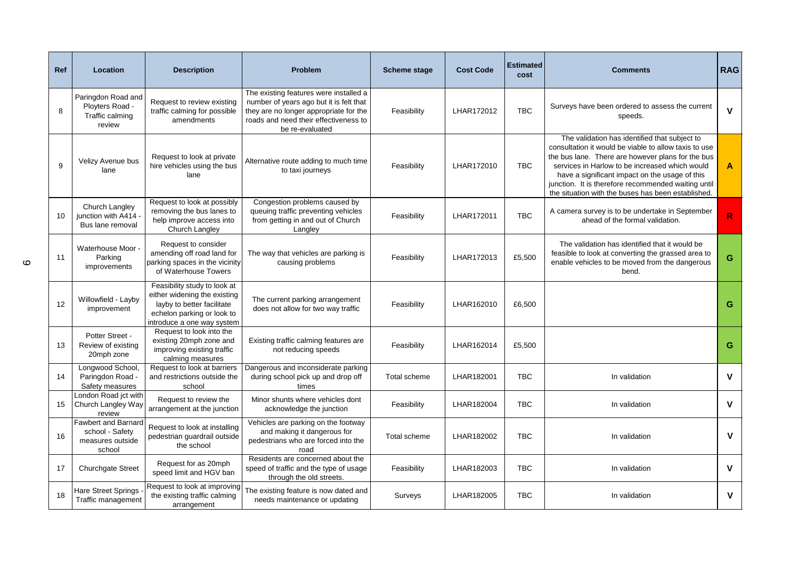| Ref | Location                                                                    | <b>Description</b>                                                                                                                                     | Problem                                                                                                                                                                                 | <b>Scheme stage</b> | <b>Cost Code</b> | <b>Estimated</b><br>cost | <b>Comments</b>                                                                                                                                                                                                                                                                                                                                                              | <b>RAG</b>   |
|-----|-----------------------------------------------------------------------------|--------------------------------------------------------------------------------------------------------------------------------------------------------|-----------------------------------------------------------------------------------------------------------------------------------------------------------------------------------------|---------------------|------------------|--------------------------|------------------------------------------------------------------------------------------------------------------------------------------------------------------------------------------------------------------------------------------------------------------------------------------------------------------------------------------------------------------------------|--------------|
| 8   | Paringdon Road and<br>Ployters Road -<br>Traffic calming<br>review          | Request to review existing<br>traffic calming for possible<br>amendments                                                                               | The existing features were installed a<br>number of years ago but it is felt that<br>they are no longer appropriate for the<br>roads and need their effectiveness to<br>be re-evaluated | Feasibility         | LHAR172012       | <b>TBC</b>               | Surveys have been ordered to assess the current<br>speeds.                                                                                                                                                                                                                                                                                                                   | $\mathbf{V}$ |
| 9   | Velizy Avenue bus<br>lane                                                   | Request to look at private<br>hire vehicles using the bus<br>lane                                                                                      | Alternative route adding to much time<br>to taxi journeys                                                                                                                               | Feasibility         | LHAR172010       | <b>TBC</b>               | The validation has identified that subject to<br>consultation it would be viable to allow taxis to use<br>the bus lane. There are however plans for the bus<br>services in Harlow to be increased which would<br>have a significant impact on the usage of this<br>junction. It is therefore recommended waiting until<br>the situation with the buses has been established. | $\mathbf{A}$ |
| 10  | Church Langley<br>iunction with A414 -<br>Bus lane removal                  | Request to look at possibly<br>removing the bus lanes to<br>help improve access into<br>Church Langley                                                 | Congestion problems caused by<br>queuing traffic preventing vehicles<br>from getting in and out of Church<br>Langley                                                                    | Feasibility         | LHAR172011       | <b>TBC</b>               | A camera survey is to be undertake in September<br>ahead of the formal validation.                                                                                                                                                                                                                                                                                           | $\mathsf{R}$ |
| 11  | Waterhouse Moor .<br>Parking<br>improvements                                | Request to consider<br>amending off road land for<br>parking spaces in the vicinity<br>of Waterhouse Towers                                            | The way that vehicles are parking is<br>causing problems                                                                                                                                | Feasibility         | LHAR172013       | £5,500                   | The validation has identified that it would be<br>feasible to look at converting the grassed area to<br>enable vehicles to be moved from the dangerous<br>bend.                                                                                                                                                                                                              | G            |
| 12  | Willowfield - Layby<br>improvement                                          | Feasibility study to look at<br>either widening the existing<br>layby to better facilitate<br>echelon parking or look to<br>introduce a one way system | The current parking arrangement<br>does not allow for two way traffic                                                                                                                   | Feasibility         | LHAR162010       | £6,500                   |                                                                                                                                                                                                                                                                                                                                                                              | G            |
| 13  | Potter Street -<br>Review of existing<br>20mph zone                         | Request to look into the<br>existing 20mph zone and<br>improving existing traffic<br>calming measures                                                  | Existing traffic calming features are<br>not reducing speeds                                                                                                                            | Feasibility         | LHAR162014       | £5,500                   |                                                                                                                                                                                                                                                                                                                                                                              | G            |
| 14  | Longwood School,<br>Paringdon Road -<br>Safety measures                     | Request to look at barriers<br>and restrictions outside the<br>school                                                                                  | Dangerous and inconsiderate parking<br>during school pick up and drop off<br>times                                                                                                      | Total scheme        | LHAR182001       | <b>TBC</b>               | In validation                                                                                                                                                                                                                                                                                                                                                                | $\mathbf v$  |
| 15  | London Road jct with<br>Church Langley Way<br>review                        | Request to review the<br>arrangement at the junction                                                                                                   | Minor shunts where vehicles dont<br>acknowledge the junction                                                                                                                            | Feasibility         | LHAR182004       | <b>TBC</b>               | In validation                                                                                                                                                                                                                                                                                                                                                                | $\mathbf v$  |
| 16  | <b>Fawbert and Barnard</b><br>school - Safety<br>measures outside<br>school | Request to look at installing<br>pedestrian guardrail outside<br>the school                                                                            | Vehicles are parking on the footway<br>and making it dangerous for<br>pedestrians who are forced into the<br>road                                                                       | Total scheme        | LHAR182002       | <b>TBC</b>               | In validation                                                                                                                                                                                                                                                                                                                                                                | $\mathbf v$  |
| 17  | <b>Churchgate Street</b>                                                    | Request for as 20mph<br>speed limit and HGV ban                                                                                                        | Residents are concerned about the<br>speed of traffic and the type of usage<br>through the old streets.                                                                                 | Feasibility         | LHAR182003       | <b>TBC</b>               | In validation                                                                                                                                                                                                                                                                                                                                                                | $\mathbf v$  |
| 18  | <b>Hare Street Springs</b><br>Traffic management                            | Request to look at improving<br>the existing traffic calming<br>arrangement                                                                            | The existing feature is now dated and<br>needs maintenance or updating                                                                                                                  | Surveys             | LHAR182005       | <b>TBC</b>               | In validation                                                                                                                                                                                                                                                                                                                                                                | $\mathbf v$  |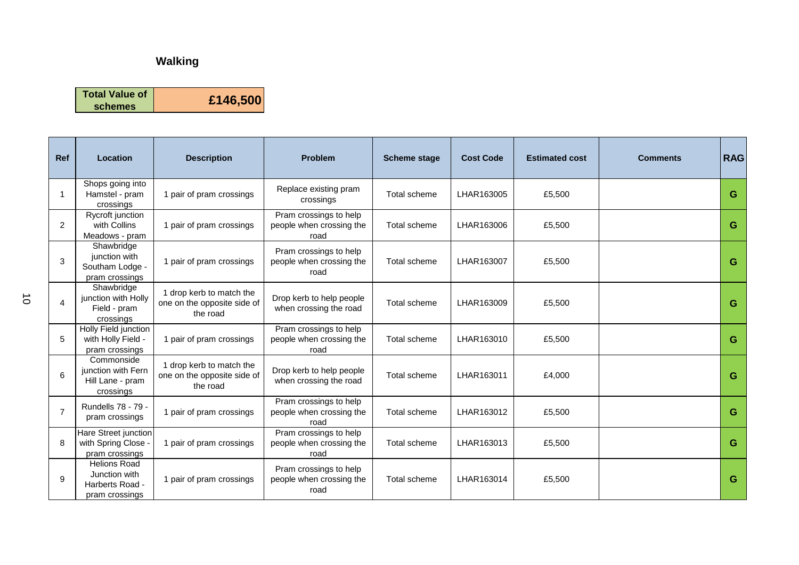## **Walking**

**Total Value of** 



| <b>Ref</b>     | <b>Location</b>                                                           | <b>Description</b>                                                  | <b>Problem</b>                                             | <b>Scheme stage</b> | <b>Cost Code</b> | <b>Estimated cost</b> | <b>Comments</b> | <b>RAG</b> |
|----------------|---------------------------------------------------------------------------|---------------------------------------------------------------------|------------------------------------------------------------|---------------------|------------------|-----------------------|-----------------|------------|
|                | Shops going into<br>Hamstel - pram<br>crossings                           | 1 pair of pram crossings                                            | Replace existing pram<br>crossings                         | Total scheme        | LHAR163005       | £5.500                |                 | G          |
| $\overline{2}$ | Rycroft junction<br>with Collins<br>Meadows - pram                        | 1 pair of pram crossings                                            | Pram crossings to help<br>people when crossing the<br>road | Total scheme        | LHAR163006       | £5.500                |                 | G          |
| 3              | Shawbridge<br>junction with<br>Southam Lodge -<br>pram crossings          | 1 pair of pram crossings                                            | Pram crossings to help<br>people when crossing the<br>road | Total scheme        | LHAR163007       | £5,500                |                 | G          |
| 4              | Shawbridge<br>junction with Holly<br>Field - pram<br>crossings            | 1 drop kerb to match the<br>one on the opposite side of<br>the road | Drop kerb to help people<br>when crossing the road         | Total scheme        | LHAR163009       | £5,500                |                 | G          |
| 5              | Holly Field junction<br>with Holly Field -<br>pram crossings              | 1 pair of pram crossings                                            | Pram crossings to help<br>people when crossing the<br>road | Total scheme        | LHAR163010       | £5,500                |                 | G          |
| 6              | Commonside<br>junction with Fern<br>Hill Lane - pram<br>crossings         | 1 drop kerb to match the<br>one on the opposite side of<br>the road | Drop kerb to help people<br>when crossing the road         | Total scheme        | LHAR163011       | £4,000                |                 | G          |
| $\overline{7}$ | Rundells 78 - 79 -<br>pram crossings                                      | 1 pair of pram crossings                                            | Pram crossings to help<br>people when crossing the<br>road | Total scheme        | LHAR163012       | £5,500                |                 | G          |
| 8              | Hare Street junction<br>with Spring Close -<br>pram crossings             | 1 pair of pram crossings                                            | Pram crossings to help<br>people when crossing the<br>road | Total scheme        | LHAR163013       | £5,500                |                 | G          |
| 9              | <b>Helions Road</b><br>Junction with<br>Harberts Road -<br>pram crossings | 1 pair of pram crossings                                            | Pram crossings to help<br>people when crossing the<br>road | Total scheme        | LHAR163014       | £5,500                |                 | G          |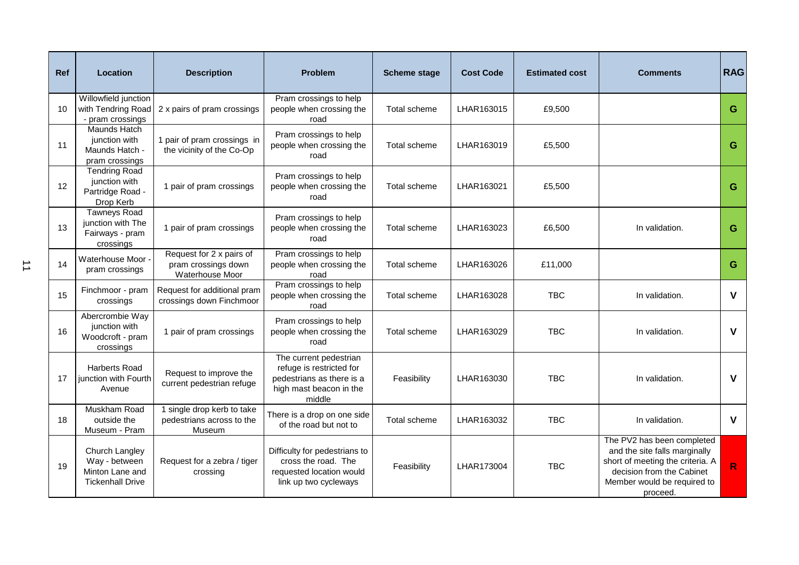| <b>Ref</b> | <b>Location</b>                                                               | <b>Description</b>                                                 | <b>Problem</b>                                                                                                       | <b>Scheme stage</b> | <b>Cost Code</b> | <b>Estimated cost</b> | <b>Comments</b>                                                                                                                                                         | <b>RAG</b>   |
|------------|-------------------------------------------------------------------------------|--------------------------------------------------------------------|----------------------------------------------------------------------------------------------------------------------|---------------------|------------------|-----------------------|-------------------------------------------------------------------------------------------------------------------------------------------------------------------------|--------------|
| 10         | Willowfield junction<br>with Tendring Road<br>- pram crossings                | 2 x pairs of pram crossings                                        | Pram crossings to help<br>people when crossing the<br>road                                                           | Total scheme        | LHAR163015       | £9,500                |                                                                                                                                                                         | G            |
| 11         | Maunds Hatch<br>junction with<br>Maunds Hatch -<br>pram crossings             | 1 pair of pram crossings in<br>the vicinity of the Co-Op           | Pram crossings to help<br>people when crossing the<br>road                                                           | Total scheme        | LHAR163019       | £5,500                |                                                                                                                                                                         | G            |
| 12         | <b>Tendring Road</b><br>junction with<br>Partridge Road -<br>Drop Kerb        | 1 pair of pram crossings                                           | Pram crossings to help<br>people when crossing the<br>road                                                           | Total scheme        | LHAR163021       | £5,500                |                                                                                                                                                                         | G            |
| 13         | <b>Tawneys Road</b><br>junction with The<br>Fairways - pram<br>crossings      | 1 pair of pram crossings                                           | Pram crossings to help<br>people when crossing the<br>road                                                           | Total scheme        | LHAR163023       | £6,500                | In validation.                                                                                                                                                          | G            |
| 14         | Waterhouse Moor -<br>pram crossings                                           | Request for 2 x pairs of<br>pram crossings down<br>Waterhouse Moor | Pram crossings to help<br>people when crossing the<br>road                                                           | Total scheme        | LHAR163026       | £11,000               |                                                                                                                                                                         | G            |
| 15         | Finchmoor - pram<br>crossings                                                 | Request for additional pram<br>crossings down Finchmoor            | Pram crossings to help<br>people when crossing the<br>road                                                           | Total scheme        | LHAR163028       | TBC                   | In validation.                                                                                                                                                          | $\mathsf{V}$ |
| 16         | Abercrombie Way<br>junction with<br>Woodcroft - pram<br>crossings             | 1 pair of pram crossings                                           | Pram crossings to help<br>people when crossing the<br>road                                                           | Total scheme        | LHAR163029       | <b>TBC</b>            | In validation.                                                                                                                                                          | $\mathsf{V}$ |
| 17         | <b>Harberts Road</b><br>junction with Fourth<br>Avenue                        | Request to improve the<br>current pedestrian refuge                | The current pedestrian<br>refuge is restricted for<br>pedestrians as there is a<br>high mast beacon in the<br>middle | Feasibility         | LHAR163030       | <b>TBC</b>            | In validation.                                                                                                                                                          | $\mathsf{V}$ |
| 18         | Muskham Road<br>outside the<br>Museum - Pram                                  | 1 single drop kerb to take<br>pedestrians across to the<br>Museum  | There is a drop on one side<br>of the road but not to                                                                | Total scheme        | LHAR163032       | <b>TBC</b>            | In validation.                                                                                                                                                          | $\mathsf{V}$ |
| 19         | Church Langley<br>Way - between<br>Minton Lane and<br><b>Tickenhall Drive</b> | Request for a zebra / tiger<br>crossing                            | Difficulty for pedestrians to<br>cross the road. The<br>requested location would<br>link up two cycleways            | Feasibility         | LHAR173004       | <b>TBC</b>            | The PV2 has been completed<br>and the site falls marginally<br>short of meeting the criteria. A<br>decision from the Cabinet<br>Member would be required to<br>proceed. | $\mathbf R$  |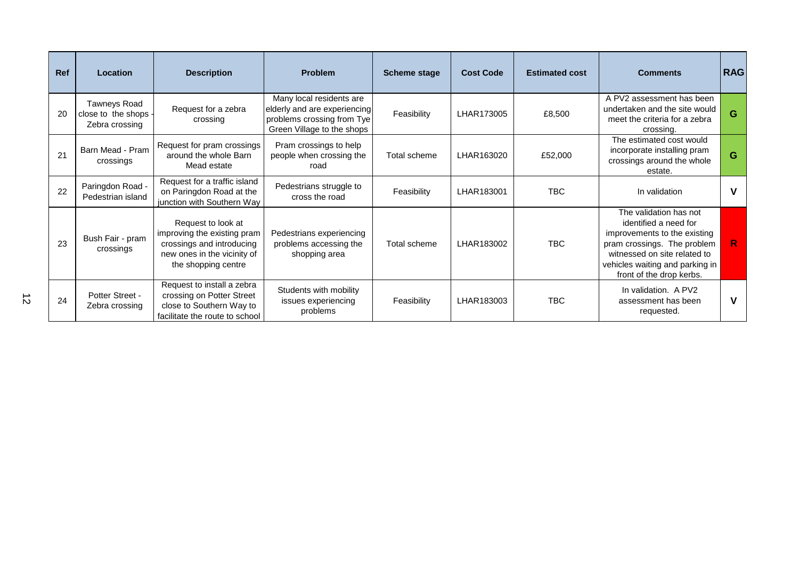| <b>Ref</b> | Location                                                      | <b>Description</b>                                                                                                                   | <b>Problem</b>                                                                                                       | <b>Scheme stage</b> | <b>Cost Code</b> | <b>Estimated cost</b> | <b>Comments</b>                                                                                                                                                                                               | <b>RAG</b> |
|------------|---------------------------------------------------------------|--------------------------------------------------------------------------------------------------------------------------------------|----------------------------------------------------------------------------------------------------------------------|---------------------|------------------|-----------------------|---------------------------------------------------------------------------------------------------------------------------------------------------------------------------------------------------------------|------------|
| 20         | <b>Tawneys Road</b><br>close to the shops -<br>Zebra crossing | Request for a zebra<br>crossing                                                                                                      | Many local residents are<br>elderly and are experiencing<br>problems crossing from Tye<br>Green Village to the shops | Feasibility         | LHAR173005       | £8,500                | A PV2 assessment has been<br>undertaken and the site would<br>meet the criteria for a zebra<br>crossing.                                                                                                      | G          |
| 21         | Barn Mead - Pram<br>crossings                                 | Request for pram crossings<br>around the whole Barn<br>Mead estate                                                                   | Pram crossings to help<br>people when crossing the<br>road                                                           | Total scheme        | LHAR163020       | £52,000               | The estimated cost would<br>incorporate installing pram<br>crossings around the whole<br>estate.                                                                                                              | G          |
| 22         | Paringdon Road -<br>Pedestrian island                         | Request for a traffic island<br>on Paringdon Road at the<br>junction with Southern Way                                               | Pedestrians struggle to<br>cross the road                                                                            | Feasibility         | LHAR183001       | <b>TBC</b>            | In validation                                                                                                                                                                                                 |            |
| 23         | Bush Fair - pram<br>crossings                                 | Request to look at<br>improving the existing pram<br>crossings and introducing<br>new ones in the vicinity of<br>the shopping centre | Pedestrians experiencing<br>problems accessing the<br>shopping area                                                  | Total scheme        | LHAR183002       | <b>TBC</b>            | The validation has not<br>identified a need for<br>improvements to the existing<br>pram crossings. The problem<br>witnessed on site related to<br>vehicles waiting and parking in<br>front of the drop kerbs. | R.         |
| 24         | Potter Street -<br>Zebra crossing                             | Request to install a zebra<br>crossing on Potter Street<br>close to Southern Way to<br>facilitate the route to school                | Students with mobility<br>issues experiencing<br>problems                                                            | Feasibility         | LHAR183003       | <b>TBC</b>            | In validation. A PV2<br>assessment has been<br>requested.                                                                                                                                                     | v          |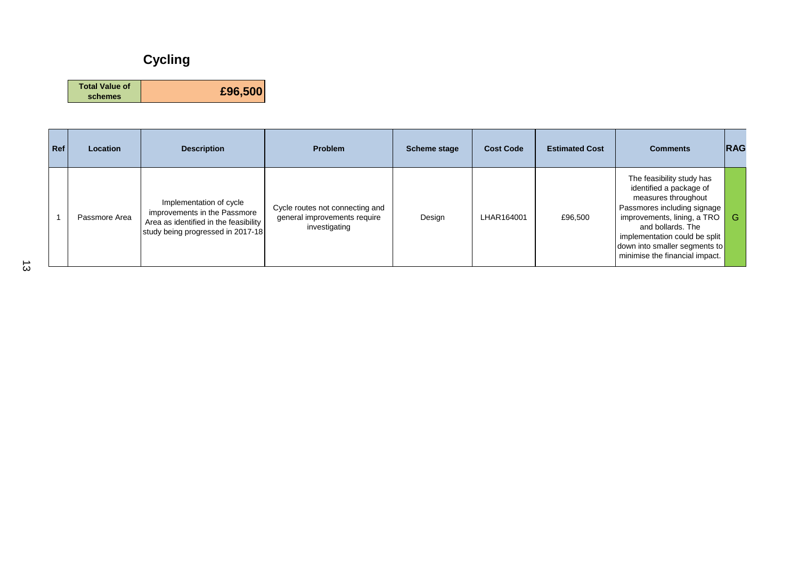## **Cycling**

| <b>Total Value of</b> |         |
|-----------------------|---------|
| schemes               | £96,500 |

| Ref | <b>Location</b> | <b>Description</b>                                                                                                                    | <b>Problem</b>                                                                   | <b>Scheme stage</b> | <b>Cost Code</b> | <b>Estimated Cost</b> | <b>Comments</b>                                                                                                                                                                                                                                                    | <b>IRAG</b> |
|-----|-----------------|---------------------------------------------------------------------------------------------------------------------------------------|----------------------------------------------------------------------------------|---------------------|------------------|-----------------------|--------------------------------------------------------------------------------------------------------------------------------------------------------------------------------------------------------------------------------------------------------------------|-------------|
|     | Passmore Area   | Implementation of cycle<br>improvements in the Passmore<br>Area as identified in the feasibility<br>study being progressed in 2017-18 | Cycle routes not connecting and<br>general improvements require<br>investigating | Design              | LHAR164001       | £96,500               | The feasibility study has<br>identified a package of<br>measures throughout<br>Passmores including signage<br>improvements, lining, a TRO<br>and bollards. The<br>implementation could be split<br>down into smaller segments to<br>minimise the financial impact. | G           |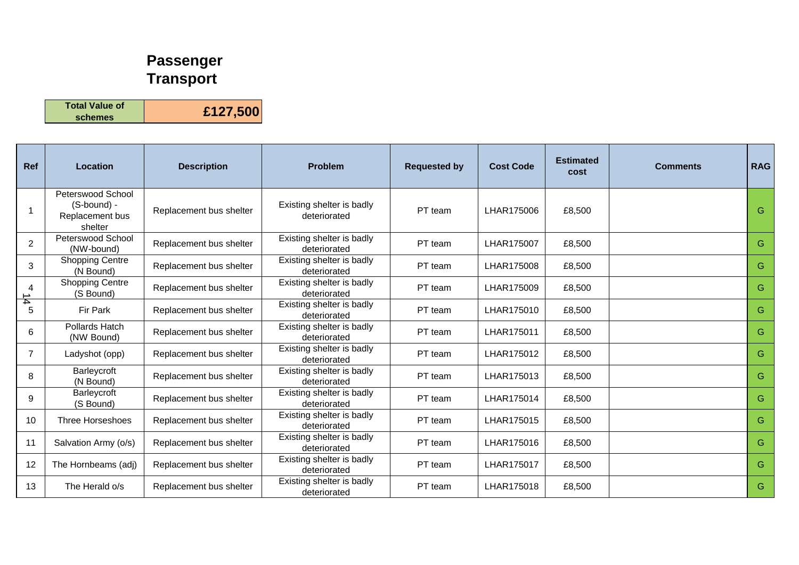## **Passenger Transport**

**Total Value of schemes £127,500**

| Ref            | <b>Location</b>                                                | <b>Description</b>      | <b>Problem</b>                            | <b>Requested by</b> | <b>Cost Code</b> | <b>Estimated</b><br>cost | <b>Comments</b> | <b>RAG</b> |
|----------------|----------------------------------------------------------------|-------------------------|-------------------------------------------|---------------------|------------------|--------------------------|-----------------|------------|
| 1              | Peterswood School<br>(S-bound) -<br>Replacement bus<br>shelter | Replacement bus shelter | Existing shelter is badly<br>deteriorated | PT team             | LHAR175006       | £8,500                   |                 | G          |
| $\overline{2}$ | Peterswood School<br>(NW-bound)                                | Replacement bus shelter | Existing shelter is badly<br>deteriorated | PT team             | LHAR175007       | £8,500                   |                 | G.         |
| 3              | <b>Shopping Centre</b><br>(N Bound)                            | Replacement bus shelter | Existing shelter is badly<br>deteriorated | PT team             | LHAR175008       | £8,500                   |                 | G.         |
| 4              | <b>Shopping Centre</b><br>(S Bound)                            | Replacement bus shelter | Existing shelter is badly<br>deteriorated | PT team             | LHAR175009       | £8,500                   |                 | G.         |
| $rac{1}{6}$    | Fir Park                                                       | Replacement bus shelter | Existing shelter is badly<br>deteriorated | PT team             | LHAR175010       | £8,500                   |                 | G.         |
| 6              | Pollards Hatch<br>(NW Bound)                                   | Replacement bus shelter | Existing shelter is badly<br>deteriorated | PT team             | LHAR175011       | £8,500                   |                 | G.         |
| $\overline{7}$ | Ladyshot (opp)                                                 | Replacement bus shelter | Existing shelter is badly<br>deteriorated | PT team             | LHAR175012       | £8,500                   |                 | G.         |
| 8              | Barleycroft<br>(N Bound)                                       | Replacement bus shelter | Existing shelter is badly<br>deteriorated | PT team             | LHAR175013       | £8,500                   |                 | G.         |
| 9              | Barleycroft<br>(S Bound)                                       | Replacement bus shelter | Existing shelter is badly<br>deteriorated | PT team             | LHAR175014       | £8,500                   |                 | G.         |
| 10             | Three Horseshoes                                               | Replacement bus shelter | Existing shelter is badly<br>deteriorated | PT team             | LHAR175015       | £8,500                   |                 | G.         |
| 11             | Salvation Army (o/s)                                           | Replacement bus shelter | Existing shelter is badly<br>deteriorated | PT team             | LHAR175016       | £8,500                   |                 | G          |
| 12             | The Hornbeams (adj)                                            | Replacement bus shelter | Existing shelter is badly<br>deteriorated | PT team             | LHAR175017       | £8,500                   |                 | G          |
| 13             | The Herald o/s                                                 | Replacement bus shelter | Existing shelter is badly<br>deteriorated | PT team             | LHAR175018       | £8,500                   |                 | G.         |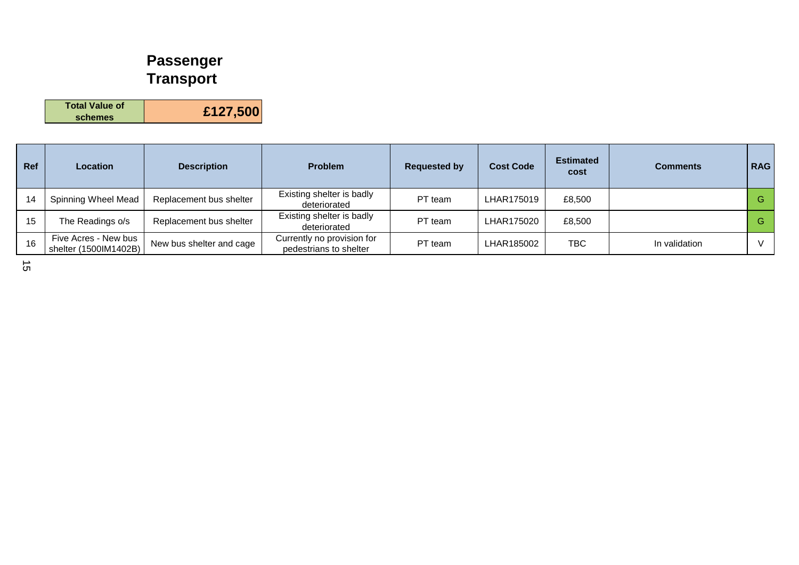## **Passenger Transport**

**Total Value of schemes £127,500**

| Ref | <b>Location</b>                               | <b>Description</b>       | <b>Problem</b>                                       | <b>Requested by</b> | <b>Cost Code</b> | <b>Estimated</b><br>cost | <b>Comments</b> | <b>RAG</b> |
|-----|-----------------------------------------------|--------------------------|------------------------------------------------------|---------------------|------------------|--------------------------|-----------------|------------|
| 14  | Spinning Wheel Mead                           | Replacement bus shelter  | Existing shelter is badly<br>deteriorated            | PT team             | LHAR175019       | £8,500                   |                 | G          |
| 15  | The Readings o/s                              | Replacement bus shelter  | Existing shelter is badly<br>deteriorated            | PT team             | LHAR175020       | £8,500                   |                 | G.         |
| 16  | Five Acres - New bus<br>shelter (1500IM1402B) | New bus shelter and cage | Currently no provision for<br>pedestrians to shelter | PT team             | LHAR185002       | <b>TBC</b>               | In validation   |            |

15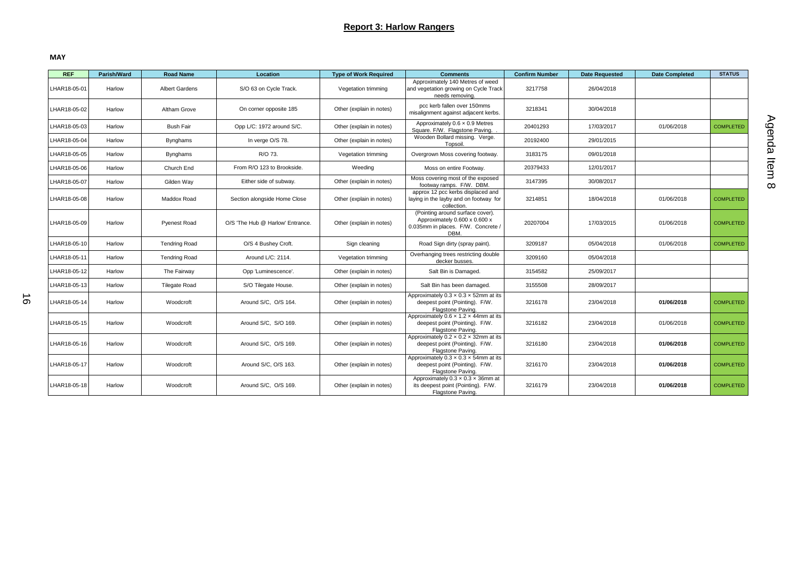#### **Report 3: Harlow Rangers**

**MAY**

| <b>REF</b>   | Parish/Ward | <b>Road Name</b>     | Location                         | <b>Type of Work Required</b> | <b>Comments</b>                                                                                                 | <b>Confirm Number</b> | <b>Date Requested</b> | <b>Date Completed</b> | <b>STATUS</b>    |
|--------------|-------------|----------------------|----------------------------------|------------------------------|-----------------------------------------------------------------------------------------------------------------|-----------------------|-----------------------|-----------------------|------------------|
| LHAR18-05-01 | Harlow      | Albert Gardens       | S/O 63 on Cycle Track.           | Vegetation trimming          | Approximately 140 Metres of weed<br>and vegetation growing on Cycle Track<br>needs removing.                    | 3217758               | 26/04/2018            |                       |                  |
| LHAR18-05-02 | Harlow      | Altham Grove         | On corner opposite 185           | Other (explain in notes)     | pcc kerb fallen over 150mms<br>misalignment against adjacent kerbs.                                             | 3218341               | 30/04/2018            |                       |                  |
| LHAR18-05-03 | Harlow      | <b>Bush Fair</b>     | Opp L/C: 1972 around S/C.        | Other (explain in notes)     | Approximately $0.6 \times 0.9$ Metres<br>Square, F/W. Flagstone Paving.                                         | 20401293              | 17/03/2017            | 01/06/2018            | <b>COMPLETED</b> |
| LHAR18-05-04 | Harlow      | <b>Bynghams</b>      | In verge O/S 78.                 | Other (explain in notes)     | Wooden Bollard missing. Verge.<br>Topsoil.                                                                      | 20192400              | 29/01/2015            |                       |                  |
| LHAR18-05-05 | Harlow      | Bynghams             | R/O 73.                          | Vegetation trimming          | Overgrown Moss covering footway.                                                                                | 3183175               | 09/01/2018            |                       |                  |
| LHAR18-05-06 | Harlow      | Church End           | From R/O 123 to Brookside.       | Weeding                      | Moss on entire Footway.                                                                                         | 20379433              | 12/01/2017            |                       |                  |
| LHAR18-05-07 | Harlow      | Gilden Way           | Either side of subway.           | Other (explain in notes)     | Moss covering most of the exposed<br>footway ramps. F/W. DBM.                                                   | 3147395               | 30/08/2017            |                       |                  |
| LHAR18-05-08 | Harlow      | Maddox Road          | Section alongside Home Close     | Other (explain in notes)     | approx 12 pcc kerbs displaced and<br>laying in the layby and on footway for<br>collection.                      | 3214851               | 18/04/2018            | 01/06/2018            | <b>COMPLETED</b> |
| LHAR18-05-09 | Harlow      | <b>Pyenest Road</b>  | O/S 'The Hub @ Harlow' Entrance. | Other (explain in notes)     | (Pointing around surface cover).<br>Approximately 0.600 x 0.600 x<br>0.035mm in places. F/W. Concrete /<br>DBM. | 20207004              | 17/03/2015            | 01/06/2018            | <b>COMPLETED</b> |
| LHAR18-05-10 | Harlow      | <b>Tendring Road</b> | O/S 4 Bushey Croft.              | Sign cleaning                | Road Sign dirty (spray paint).                                                                                  | 3209187               | 05/04/2018            | 01/06/2018            | <b>COMPLETED</b> |
| LHAR18-05-11 | Harlow      | <b>Tendring Road</b> | Around L/C: 2114.                | Vegetation trimming          | Overhanging trees restricting double<br>decker busses.                                                          | 3209160               | 05/04/2018            |                       |                  |
| LHAR18-05-12 | Harlow      | The Fairway          | Opp 'Luminescence'.              | Other (explain in notes)     | Salt Bin is Damaged.                                                                                            | 3154582               | 25/09/2017            |                       |                  |
| LHAR18-05-13 | Harlow      | <b>Tilegate Road</b> | S/O Tilegate House.              | Other (explain in notes)     | Salt Bin has been damaged.                                                                                      | 3155508               | 28/09/2017            |                       |                  |
| LHAR18-05-14 | Harlow      | Woodcroft            | Around S/C, O/S 164.             | Other (explain in notes)     | Approximately $0.3 \times 0.3 \times 52$ mm at its<br>deepest point (Pointing). F/W.<br>Flagstone Paving.       | 3216178               | 23/04/2018            | 01/06/2018            | <b>COMPLETED</b> |
| LHAR18-05-15 | Harlow      | Woodcroft            | Around S/C, S/O 169.             | Other (explain in notes)     | Approximately $0.6 \times 1.2 \times 44$ mm at its<br>deepest point (Pointing). F/W.<br>Flagstone Paving.       | 3216182               | 23/04/2018            | 01/06/2018            | <b>COMPLETED</b> |
| LHAR18-05-16 | Harlow      | Woodcroft            | Around S/C, O/S 169.             | Other (explain in notes)     | Approximately $0.2 \times 0.2 \times 32$ mm at its<br>deepest point (Pointing). F/W.<br>Flagstone Paving.       | 3216180               | 23/04/2018            | 01/06/2018            | <b>COMPLETED</b> |
| LHAR18-05-17 | Harlow      | Woodcroft            | Around S/C, O/S 163.             | Other (explain in notes)     | Approximately $0.3 \times 0.3 \times 54$ mm at its<br>deepest point (Pointing). F/W.<br>Flagstone Paving.       | 3216170               | 23/04/2018            | 01/06/2018            | <b>COMPLETED</b> |
| LHAR18-05-18 | Harlow      | Woodcroft            | Around S/C, O/S 169.             | Other (explain in notes)     | Approximately $0.3 \times 0.3 \times 36$ mm at<br>its deepest point (Pointing). F/W.<br>Flagstone Paving.       | 3216179               | 23/04/2018            | 01/06/2018            | <b>COMPLETED</b> |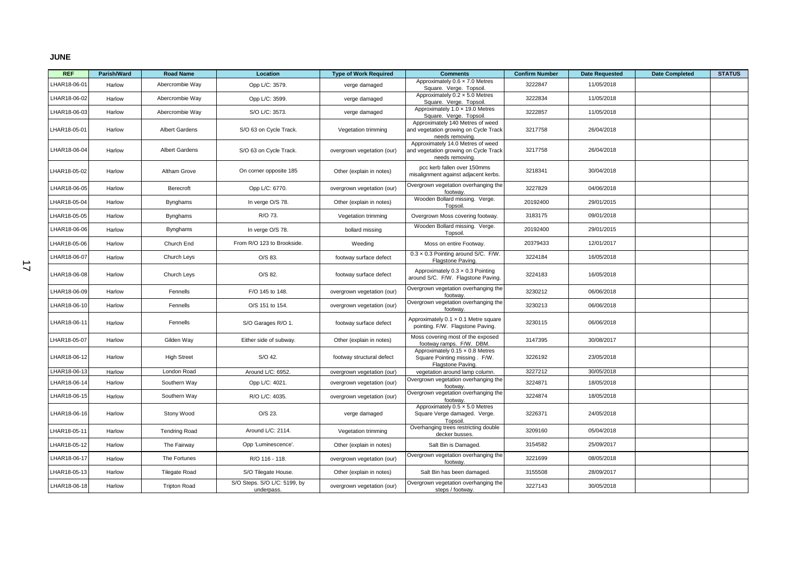#### **JUNE**

| <b>REF</b>   | Parish/Ward | <b>Road Name</b>      | Location                                   | <b>Type of Work Required</b> | <b>Comments</b>                                                                               | <b>Confirm Number</b> | <b>Date Requested</b> | <b>Date Completed</b> | <b>STATUS</b> |
|--------------|-------------|-----------------------|--------------------------------------------|------------------------------|-----------------------------------------------------------------------------------------------|-----------------------|-----------------------|-----------------------|---------------|
| LHAR18-06-01 | Harlow      | Abercrombie Way       | Opp L/C: 3579.                             | verge damaged                | Approximately $0.6 \times 7.0$ Metres<br>Square. Verge. Topsoil                               | 3222847               | 11/05/2018            |                       |               |
| LHAR18-06-02 | Harlow      | Abercrombie Way       | Opp L/C: 3599.                             | verge damaged                | Approximately 0.2 x 5.0 Metres<br>Square. Verge. Topsoil                                      | 3222834               | 11/05/2018            |                       |               |
| LHAR18-06-03 | Harlow      | Abercrombie Way       | S/O L/C: 3573.                             | verge damaged                | Approximately 1.0 x 19.0 Metres<br>Square. Verge. Topsoil                                     | 3222857               | 11/05/2018            |                       |               |
| LHAR18-05-01 | Harlow      | Albert Gardens        | S/O 63 on Cycle Track.                     | Vegetation trimming          | Approximately 140 Metres of weed<br>and vegetation growing on Cycle Track<br>needs removing.  | 3217758               | 26/04/2018            |                       |               |
| LHAR18-06-04 | Harlow      | <b>Albert Gardens</b> | S/O 63 on Cycle Track.                     | overgrown vegetation (our)   | Approximately 14.0 Metres of weed<br>and vegetation growing on Cycle Track<br>needs removing. | 3217758               | 26/04/2018            |                       |               |
| LHAR18-05-02 | Harlow      | Altham Grove          | On corner opposite 185                     | Other (explain in notes)     | pcc kerb fallen over 150mms<br>misalignment against adjacent kerbs.                           | 3218341               | 30/04/2018            |                       |               |
| LHAR18-06-05 | Harlow      | Berecroft             | Opp L/C: 6770.                             | overgrown vegetation (our)   | Overgrown vegetation overhanging the<br>footway.                                              | 3227829               | 04/06/2018            |                       |               |
| LHAR18-05-04 | Harlow      | <b>Bynghams</b>       | In verge O/S 78.                           | Other (explain in notes)     | Wooden Bollard missing. Verge.<br>Topsoil                                                     | 20192400              | 29/01/2015            |                       |               |
| LHAR18-05-05 | Harlow      | <b>Bynghams</b>       | R/O 73.                                    | Vegetation trimming          | Overgrown Moss covering footway.                                                              | 3183175               | 09/01/2018            |                       |               |
| LHAR18-06-06 | Harlow      | <b>Bynghams</b>       | In verge O/S 78.                           | bollard missing              | Wooden Bollard missing. Verge.<br>Topsoil                                                     | 20192400              | 29/01/2015            |                       |               |
| LHAR18-05-06 | Harlow      | Church End            | From R/O 123 to Brookside.                 | Weeding                      | Moss on entire Footway.                                                                       | 20379433              | 12/01/2017            |                       |               |
| LHAR18-06-07 | Harlow      | Church Leys           | O/S 83.                                    | footway surface defect       | 0.3 x 0.3 Pointing around S/C. F/W.<br>Flagstone Paving.                                      | 3224184               | 16/05/2018            |                       |               |
| LHAR18-06-08 | Harlow      | Church Leys           | O/S 82.                                    | footway surface defect       | Approximately $0.3 \times 0.3$ Pointing<br>around S/C. F/W. Flagstone Paving.                 | 3224183               | 16/05/2018            |                       |               |
| LHAR18-06-09 | Harlow      | Fennells              | F/O 145 to 148.                            | overgrown vegetation (our)   | Overgrown vegetation overhanging the<br>footway.                                              | 3230212               | 06/06/2018            |                       |               |
| LHAR18-06-10 | Harlow      | Fennells              | O/S 151 to 154.                            | overgrown vegetation (our)   | Overgrown vegetation overhanging the<br>footway                                               | 3230213               | 06/06/2018            |                       |               |
| LHAR18-06-11 | Harlow      | Fennells              | S/O Garages R/O 1.                         | footway surface defect       | Approximately 0.1 x 0.1 Metre square<br>pointing. F/W. Flagstone Paving.                      | 3230115               | 06/06/2018            |                       |               |
| LHAR18-05-07 | Harlow      | Gilden Way            | Either side of subway.                     | Other (explain in notes)     | Moss covering most of the exposed<br>footway ramps. F/W. DBM.                                 | 3147395               | 30/08/2017            |                       |               |
| LHAR18-06-12 | Harlow      | <b>High Street</b>    | S/O 42.                                    | footway structural defect    | Approximately 0.15 x 0.8 Metres<br>Square Pointing missing. F/W.<br>Flagstone Paving.         | 3226192               | 23/05/2018            |                       |               |
| LHAR18-06-13 | Harlow      | London Road           | Around L/C: 6952.                          | overgrown vegetation (our)   | vegetation around lamp column.                                                                | 3227212               | 30/05/2018            |                       |               |
| LHAR18-06-14 | Harlow      | Southern Way          | Opp L/C: 4021.                             | overgrown vegetation (our)   | Overgrown vegetation overhanging the<br>footway.                                              | 3224871               | 18/05/2018            |                       |               |
| LHAR18-06-15 | Harlow      | Southern Way          | R/O L/C: 4035.                             | overgrown vegetation (our)   | Overgrown vegetation overhanging the<br>footway                                               | 3224874               | 18/05/2018            |                       |               |
| LHAR18-06-16 | Harlow      | Stony Wood            | O/S 23.                                    | verge damaged                | Approximately $0.5 \times 5.0$ Metres<br>Square Verge damaged. Verge.<br>Topsoil              | 3226371               | 24/05/2018            |                       |               |
| LHAR18-05-11 | Harlow      | <b>Tendring Road</b>  | Around L/C: 2114.                          | Vegetation trimming          | Overhanging trees restricting double<br>decker busses.                                        | 3209160               | 05/04/2018            |                       |               |
| LHAR18-05-12 | Harlow      | The Fairway           | Opp 'Luminescence'.                        | Other (explain in notes)     | Salt Bin is Damaged.                                                                          | 3154582               | 25/09/2017            |                       |               |
| LHAR18-06-17 | Harlow      | The Fortunes          | R/O 116 - 118.                             | overgrown vegetation (our)   | Overgrown vegetation overhanging the<br>footway                                               | 3221699               | 08/05/2018            |                       |               |
| LHAR18-05-13 | Harlow      | <b>Tilegate Road</b>  | S/O Tilegate House.                        | Other (explain in notes)     | Salt Bin has been damaged.                                                                    | 3155508               | 28/09/2017            |                       |               |
| LHAR18-06-18 | Harlow      | <b>Tripton Road</b>   | S/O Steps. S/O L/C: 5199, by<br>underpass. | overgrown vegetation (our)   | Overgrown vegetation overhanging the<br>steps / footway.                                      | 3227143               | 30/05/2018            |                       |               |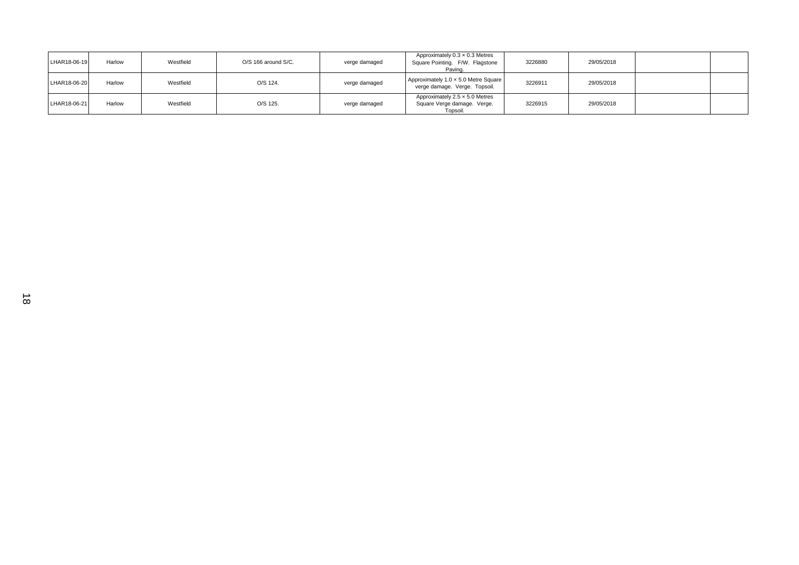| LHAR18-06-19 | Harlow | Westfield | O/S 166 around S/C. | verge damaged | Approximately $0.3 \times 0.3$ Metres<br>Square Pointing. F/W. Flagstone<br>Paving. | 3226880 | 29/05/2018 |  |
|--------------|--------|-----------|---------------------|---------------|-------------------------------------------------------------------------------------|---------|------------|--|
| LHAR18-06-20 | Harlow | Westfield | O/S 124.            | verge damaged | Approximately 1.0 x 5.0 Metre Square<br>verge damage. Verge. Topsoil.               | 3226911 | 29/05/2018 |  |
| LHAR18-06-21 | Harlow | Westfield | O/S 125.            | verge damaged | Approximately 2.5 x 5.0 Metres<br>Square Verge damage. Verge.<br>Topsoil.           | 3226915 | 29/05/2018 |  |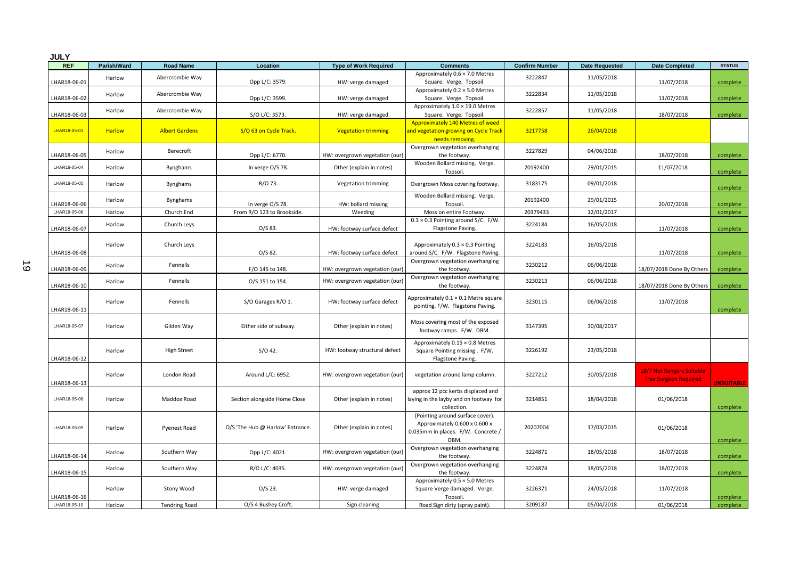| <b>JULY</b>  |               |                       |                                  |                                |                                                                                                                 |                       |                       |                                                           |                   |
|--------------|---------------|-----------------------|----------------------------------|--------------------------------|-----------------------------------------------------------------------------------------------------------------|-----------------------|-----------------------|-----------------------------------------------------------|-------------------|
| <b>REF</b>   | Parish/Ward   | <b>Road Name</b>      | Location                         | <b>Type of Work Required</b>   | <b>Comments</b>                                                                                                 | <b>Confirm Number</b> | <b>Date Requested</b> | <b>Date Completed</b>                                     | <b>STATUS</b>     |
| LHAR18-06-01 | Harlow        | Abercrombie Way       | Opp L/C: 3579.                   | HW: verge damaged              | Approximately 0.6 × 7.0 Metres<br>Square. Verge. Topsoil.                                                       | 3222847               | 11/05/2018            | 11/07/2018                                                | complete          |
| LHAR18-06-02 | Harlow        | Abercrombie Way       | Opp L/C: 3599.                   | HW: verge damaged              | Approximately 0.2 × 5.0 Metres<br>Square. Verge. Topsoil.                                                       | 3222834               | 11/05/2018            | 11/07/2018                                                | complete          |
| LHAR18-06-03 | Harlow        | Abercrombie Way       | S/O L/C: 3573.                   | HW: verge damaged              | Approximately 1.0 × 19.0 Metres<br>Square. Verge. Topsoil.                                                      | 3222857               | 11/05/2018            | 18/07/2018                                                | complete          |
| LHAR18-05-01 | <b>Harlow</b> | <b>Albert Gardens</b> | S/O 63 on Cycle Track.           | <b>Vegetation trimming</b>     | Approximately 140 Metres of weed<br>and vegetation growing on Cycle Track<br>needs removing.                    | 3217758               | 26/04/2018            |                                                           |                   |
| LHAR18-06-05 | Harlow        | Berecroft             | Opp L/C: 6770.                   | HW: overgrown vegetation (our) | Overgrown vegetation overhanging<br>the footway.                                                                | 3227829               | 04/06/2018            | 18/07/2018                                                | complete          |
| LHAR18-05-04 | Harlow        | Bynghams              | In verge O/S 78.                 | Other (explain in notes)       | Wooden Bollard missing. Verge.<br>Topsoil.                                                                      | 20192400              | 29/01/2015            | 11/07/2018                                                | complete          |
| LHAR18-05-05 | Harlow        | Bynghams              | R/O 73.                          | Vegetation trimming            | Overgrown Moss covering footway.                                                                                | 3183175               | 09/01/2018            |                                                           | complete          |
| LHAR18-06-06 | Harlow        | Bynghams              | In verge O/S 78.                 | HW: bollard missing            | Wooden Bollard missing. Verge.<br>Topsoil.                                                                      | 20192400              | 29/01/2015            | 20/07/2018                                                | complete          |
| LHAR18-05-06 | Harlow        | Church End            | From R/O 123 to Brookside.       | Weeding                        | Moss on entire Footway.                                                                                         | 20379433              | 12/01/2017            |                                                           | complete          |
| LHAR18-06-07 | Harlow        | Church Leys           | O/S 83.                          | HW: footway surface defect     | $0.3 \times 0.3$ Pointing around S/C. F/W.<br>Flagstone Paving.                                                 | 3224184               | 16/05/2018            | 11/07/2018                                                | complete          |
| LHAR18-06-08 | Harlow        | Church Leys           | O/S 82.                          | HW: footway surface defect     | Approximately $0.3 \times 0.3$ Pointing<br>around S/C. F/W. Flagstone Paving.                                   | 3224183               | 16/05/2018            | 11/07/2018                                                | complete          |
| LHAR18-06-09 | Harlow        | Fennells              | F/O 145 to 148.                  | HW: overgrown vegetation (our) | Overgrown vegetation overhanging<br>the footway.                                                                | 3230212               | 06/06/2018            | 18/07/2018 Done By Others                                 | complete          |
| LHAR18-06-10 | Harlow        | Fennells              | O/S 151 to 154.                  | HW: overgrown vegetation (our) | Overgrown vegetation overhanging<br>the footway.                                                                | 3230213               | 06/06/2018            | 18/07/2018 Done By Others                                 | complete          |
| LHAR18-06-11 | Harlow        | Fennells              | S/O Garages R/O 1.               | HW: footway surface defect     | Approximately 0.1 × 0.1 Metre square<br>pointing. F/W. Flagstone Paving.                                        | 3230115               | 06/06/2018            | 11/07/2018                                                | complete          |
| LHAR18-05-07 | Harlow        | Gilden Way            | Either side of subway.           | Other (explain in notes)       | Moss covering most of the exposed<br>footway ramps. F/W. DBM.                                                   | 3147395               | 30/08/2017            |                                                           |                   |
| LHAR18-06-12 | Harlow        | <b>High Street</b>    | $S/O$ 42.                        | HW: footway structural defect  | Approximately 0.15 × 0.8 Metres<br>Square Pointing missing . F/W.<br>Flagstone Paving.                          | 3226192               | 23/05/2018            |                                                           |                   |
| LHAR18-06-13 | Harlow        | London Road           | Around L/C: 6952.                | HW: overgrown vegetation (our) | vegetation around lamp column.                                                                                  | 3227212               | 30/05/2018            | 18/7 Not Rangers Suitable<br><b>Tree Surgeon Required</b> | <b>UNSUITABLE</b> |
| LHAR18-05-08 | Harlow        | Maddox Road           | Section alongside Home Close     | Other (explain in notes)       | approx 12 pcc kerbs displaced and<br>laying in the layby and on footway for<br>collection.                      | 3214851               | 18/04/2018            | 01/06/2018                                                | complete          |
| LHAR18-05-09 | Harlow        | <b>Pyenest Road</b>   | O/S 'The Hub @ Harlow' Entrance. | Other (explain in notes)       | (Pointing around surface cover).<br>Approximately 0.600 x 0.600 x<br>0.035mm in places. F/W. Concrete /<br>DBM. | 20207004              | 17/03/2015            | 01/06/2018                                                | complete          |
| LHAR18-06-14 | Harlow        | Southern Way          | Opp L/C: 4021.                   | HW: overgrown vegetation (our) | Overgrown vegetation overhanging<br>the footway.                                                                | 3224871               | 18/05/2018            | 18/07/2018                                                | complete          |
| LHAR18-06-15 | Harlow        | Southern Way          | R/O L/C: 4035.                   | HW: overgrown vegetation (our) | Overgrown vegetation overhanging<br>the footway.                                                                | 3224874               | 18/05/2018            | 18/07/2018                                                | complete          |
| LHAR18-06-16 | Harlow        | Stony Wood            | $O/S$ 23.                        | HW: verge damaged              | Approximately 0.5 × 5.0 Metres<br>Square Verge damaged. Verge.<br>Topsoil.                                      | 3226371               | 24/05/2018            | 11/07/2018                                                | complete          |
| LHAR18-05-10 | Harlow        | <b>Tendring Road</b>  | O/S 4 Bushey Croft.              | Sign cleaning                  | Road Sign dirty (spray paint).                                                                                  | 3209187               | 05/04/2018            | 01/06/2018                                                | complete          |